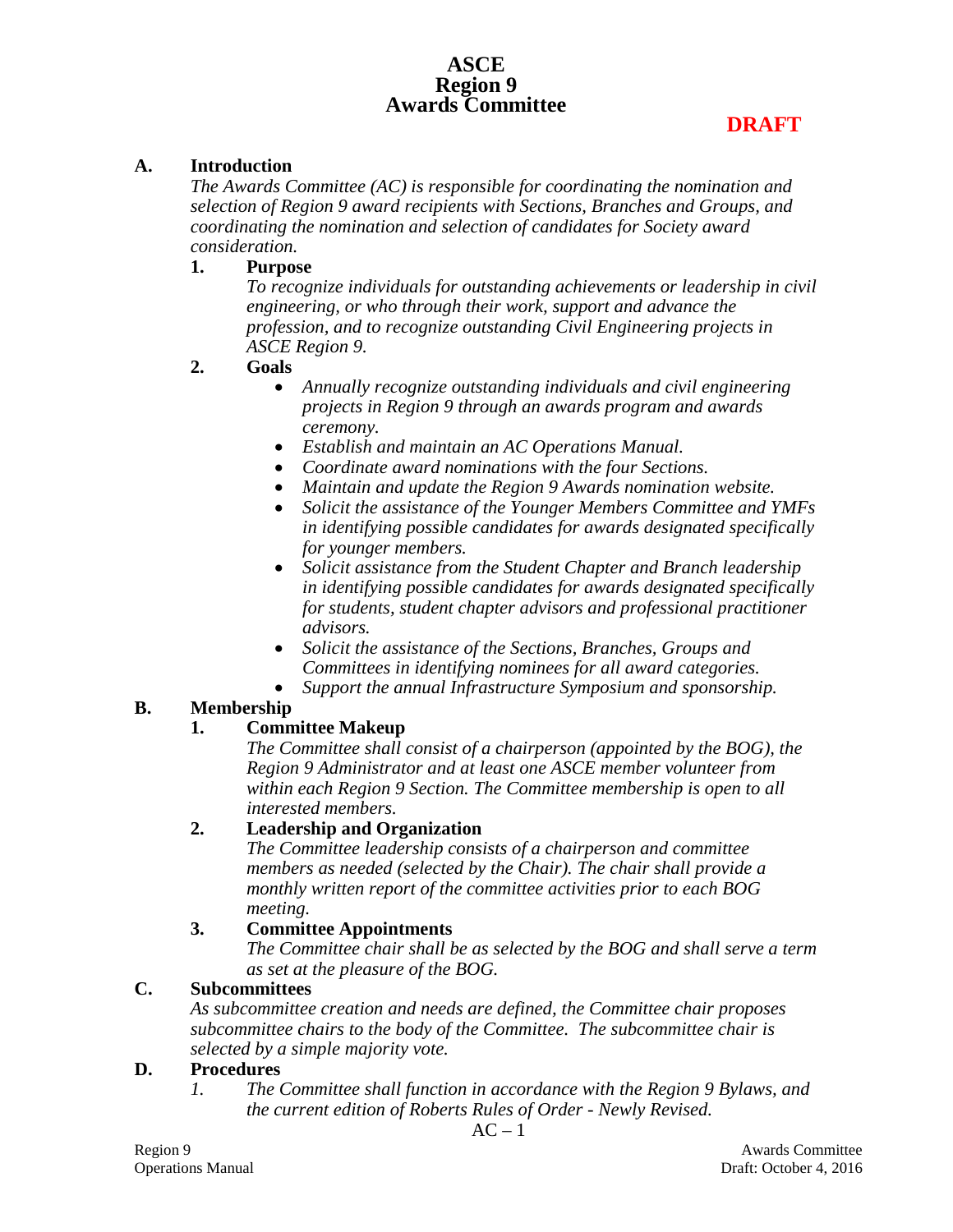# **ASCE Region 9 Awards Committee**

#### **A. Introduction**

*The Awards Committee (AC) is responsible for coordinating the nomination and selection of Region 9 award recipients with Sections, Branches and Groups, and coordinating the nomination and selection of candidates for Society award consideration.*

#### **1. Purpose**

*To recognize individuals for outstanding achievements or leadership in civil engineering, or who through their work, support and advance the profession, and to recognize outstanding Civil Engineering projects in ASCE Region 9.*

#### **2. Goals**

- *Annually recognize outstanding individuals and civil engineering projects in Region 9 through an awards program and awards ceremony.*
- *Establish and maintain an AC Operations Manual.*
- *Coordinate award nominations with the four Sections.*
- *Maintain and update the Region 9 Awards nomination website.*
- *Solicit the assistance of the Younger Members Committee and YMFs in identifying possible candidates for awards designated specifically for younger members.*
- *Solicit assistance from the Student Chapter and Branch leadership in identifying possible candidates for awards designated specifically for students, student chapter advisors and professional practitioner advisors.*
- *Solicit the assistance of the Sections, Branches, Groups and Committees in identifying nominees for all award categories.*
- *Support the annual Infrastructure Symposium and sponsorship.*

## **B. Membership**

## **1. Committee Makeup**

*The Committee shall consist of a chairperson (appointed by the BOG), the Region 9 Administrator and at least one ASCE member volunteer from within each Region 9 Section. The Committee membership is open to all interested members.*

## **2. Leadership and Organization**

*The Committee leadership consists of a chairperson and committee members as needed (selected by the Chair). The chair shall provide a monthly written report of the committee activities prior to each BOG meeting.*

## **3. Committee Appointments**

*The Committee chair shall be as selected by the BOG and shall serve a term as set at the pleasure of the BOG.*

## **C. Subcommittees**

*As subcommittee creation and needs are defined, the Committee chair proposes subcommittee chairs to the body of the Committee. The subcommittee chair is selected by a simple majority vote.*

#### **D. Procedures**

*1. The Committee shall function in accordance with the Region 9 Bylaws, and the current edition of Roberts Rules of Order - Newly Revised.*